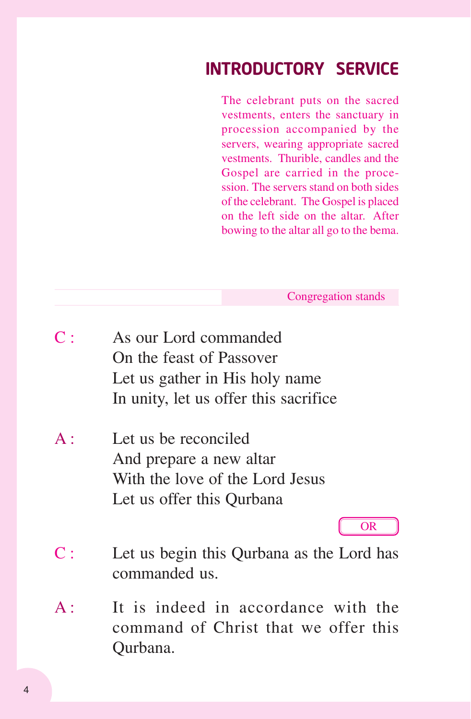# INTRODUCTORY SERVICE

The celebrant puts on the sacred vestments, enters the sanctuary in procession accompanied by the servers, wearing appropriate sacred vestments. Thurible, candles and the Gospel are carried in the procession. The servers stand on both sides of the celebrant. The Gospel is placed on the left side on the altar. After bowing to the altar all go to the bema.

Congregation stands

- C : As our Lord commanded On the feast of Passover Let us gather in His holy name In unity, let us offer this sacrifice
- A : Let us be reconciled And prepare a new altar With the love of the Lord Jesus Let us offer this Qurbana

OR

- C : Let us begin this Qurbana as the Lord has commanded us.
- A: It is indeed in accordance with the command of Christ that we offer this Qurbana.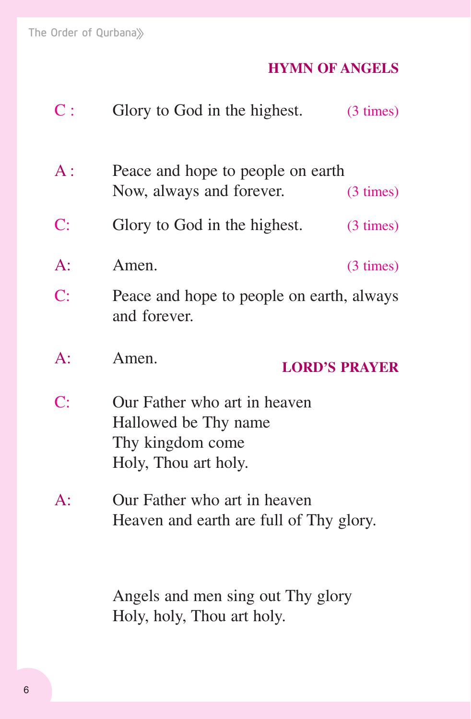# **HYMN OF ANGELS**

| $\mathbf{C}$ : | Glory to God in the highest.                                                                     | $(3 \times)$ |
|----------------|--------------------------------------------------------------------------------------------------|--------------|
| $A$ :          | Peace and hope to people on earth<br>Now, always and forever.                                    | $(3 \times)$ |
| $\mathbf{C}$ : | Glory to God in the highest.                                                                     | $(3 \times)$ |
| $A$ :          | Amen.                                                                                            | $(3 \times)$ |
| C:             | Peace and hope to people on earth, always<br>and forever.                                        |              |
| $A$ :          | Amen.<br><b>LORD'S PRAYER</b>                                                                    |              |
| C:             | Our Father who art in heaven<br>Hallowed be Thy name<br>Thy kingdom come<br>Holy, Thou art holy. |              |
| $A$ :          | Our Father who art in heaven<br>Heaven and earth are full of Thy glory.                          |              |
|                | Angels and men sing out Thy glory<br>Holy, holy, Thou art holy.                                  |              |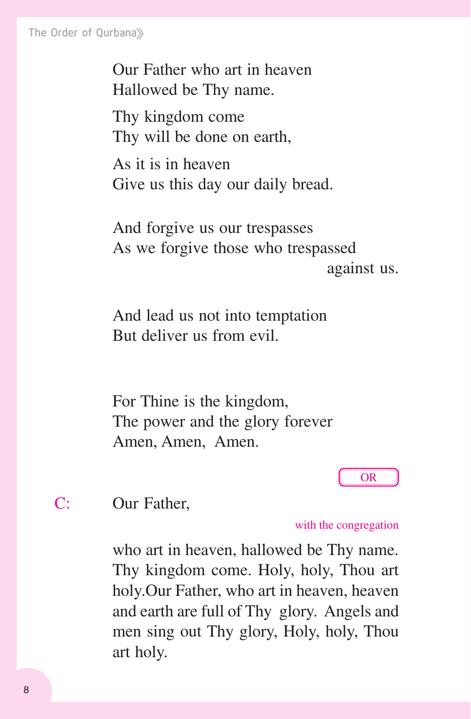The Order of Qurbana

Our Father who art in heaven Hallowed be Thy name.

Thy kingdom come Thy will be done on earth,

As it is in heaven Give us this day our daily bread.

And forgive us our trespasses As we forgive those who trespassed against us.

And lead us not into temptation But deliver us from evil.

For Thine is the kingdom, The power and the glory forever Amen, Amen, Amen.

OR

C: Our Father,

with the congregation

who art in heaven, hallowed be Thy name. Thy kingdom come. Holy, holy, Thou art holy.Our Father, who art in heaven, heaven and earth are full of Thy glory. Angels and men sing out Thy glory, Holy, holy, Thou art holy.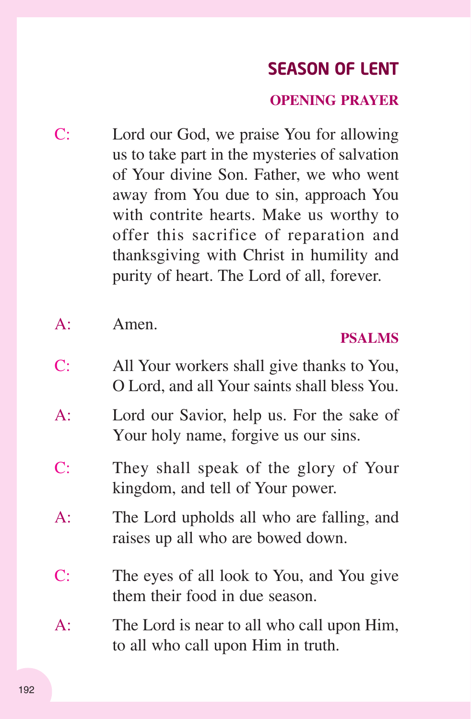# SEASON OF LENT

# **OPENING PRAYER**

C: Lord our God, we praise You for allowing us to take part in the mysteries of salvation of Your divine Son. Father, we who went away from You due to sin, approach You with contrite hearts. Make us worthy to offer this sacrifice of reparation and thanksgiving with Christ in humility and purity of heart. The Lord of all, forever.

A: Amen.

# **PSALMS**

- C: All Your workers shall give thanks to You, O Lord, and all Your saints shall bless You.
- A: Lord our Savior, help us. For the sake of Your holy name, forgive us our sins.
- C: They shall speak of the glory of Your kingdom, and tell of Your power.
- A: The Lord upholds all who are falling, and raises up all who are bowed down.
- C: The eyes of all look to You, and You give them their food in due season.
- A: The Lord is near to all who call upon Him, to all who call upon Him in truth.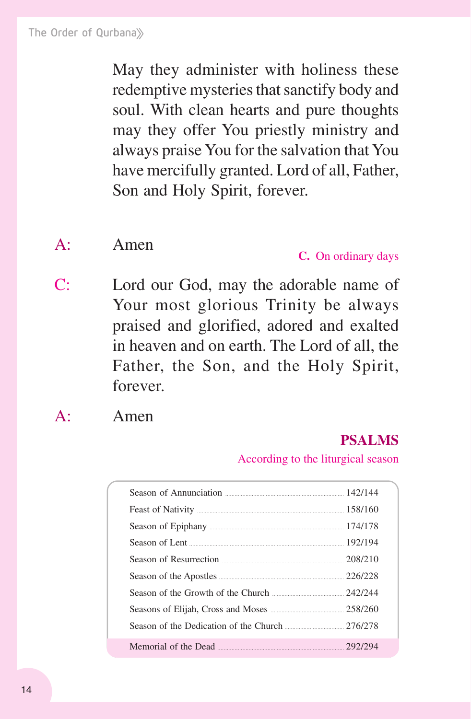May they administer with holiness these redemptive mysteries that sanctify body and soul. With clean hearts and pure thoughts may they offer You priestly ministry and always praise You for the salvation that You have mercifully granted. Lord of all, Father, Son and Holy Spirit, forever.

# A: Amen

#### **C.** On ordinary days

C: Lord our God, may the adorable name of Your most glorious Trinity be always praised and glorified, adored and exalted in heaven and on earth. The Lord of all, the Father, the Son, and the Holy Spirit, forever.

A: Amen

## **PSALMS**

According to the liturgical season

| Season of Resurrection 208/210                 |  |
|------------------------------------------------|--|
|                                                |  |
|                                                |  |
|                                                |  |
| Season of the Dedication of the Church 276/278 |  |
|                                                |  |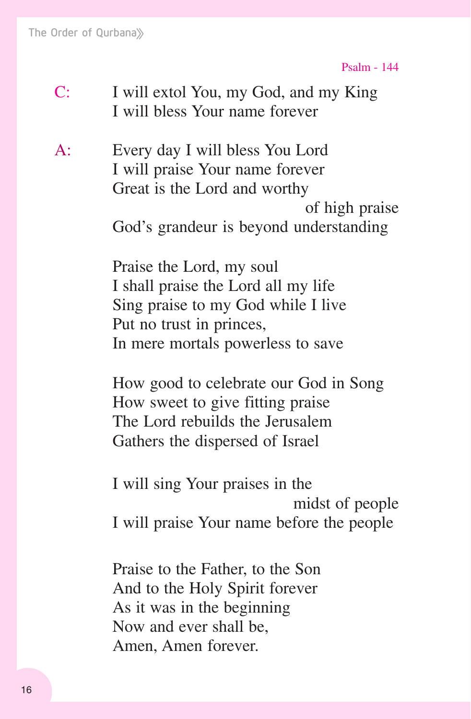Psalm - 144

- C: I will extol You, my God, and my King I will bless Your name forever
- A: Every day I will bless You Lord I will praise Your name forever Great is the Lord and worthy of high praise God's grandeur is beyond understanding

 Praise the Lord, my soul I shall praise the Lord all my life Sing praise to my God while I live Put no trust in princes, In mere mortals powerless to save

 How good to celebrate our God in Song How sweet to give fitting praise The Lord rebuilds the Jerusalem Gathers the dispersed of Israel

 I will sing Your praises in the midst of people I will praise Your name before the people

 Praise to the Father, to the Son And to the Holy Spirit forever As it was in the beginning Now and ever shall be, Amen, Amen forever.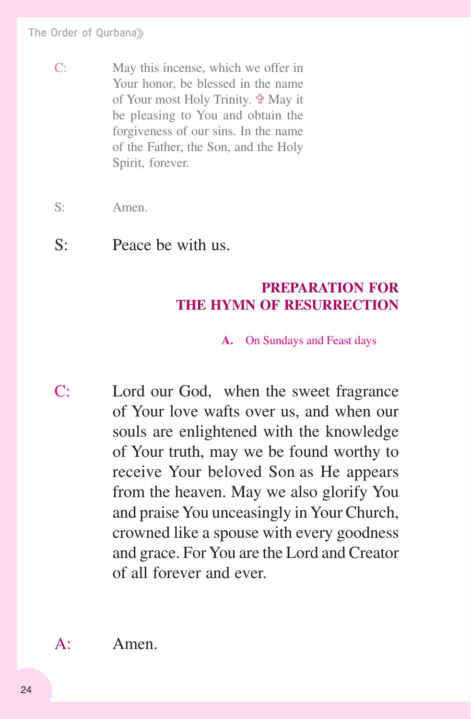- C: May this incense, which we offer in Your honor, be blessed in the name of Your most Holy Trinity.  $\mathbf{\hat{v}}$  May it be pleasing to You and obtain the forgiveness of our sins. In the name of the Father, the Son, and the Holy Spirit, forever.
- S: Amen.
- S: Peace be with us.

# **PREPARATION FOR THE HYMN OF RESURRECTION**

#### **A.** On Sundays and Feast days

C: Lord our God, when the sweet fragrance of Your love wafts over us, and when our souls are enlightened with the knowledge of Your truth, may we be found worthy to receive Your beloved Son as He appears from the heaven. May we also glorify You and praise You unceasingly in Your Church, crowned like a spouse with every goodness and grace. For You are the Lord and Creator of all forever and ever.

A: Amen.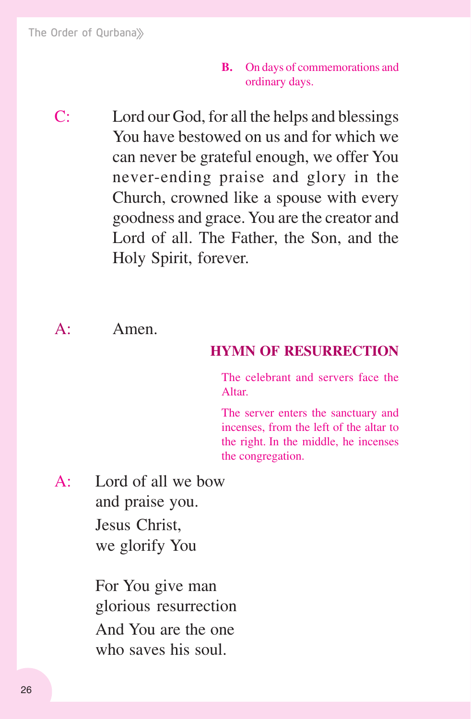- **B.** On days of commemorations and ordinary days.
- C: Lord our God, for all the helps and blessings You have bestowed on us and for which we can never be grateful enough, we offer You never-ending praise and glory in the Church, crowned like a spouse with every goodness and grace. You are the creator and Lord of all. The Father, the Son, and the Holy Spirit, forever.

#### A: Amen.

### **HYMN OF RESURRECTION**

The celebrant and servers face the Altar.

The server enters the sanctuary and incenses, from the left of the altar to the right. In the middle, he incenses the congregation.

 $A^{\dagger}$  Lord of all we how and praise you. Jesus Christ, we glorify You

> For You give man glorious resurrection And You are the one who saves his soul.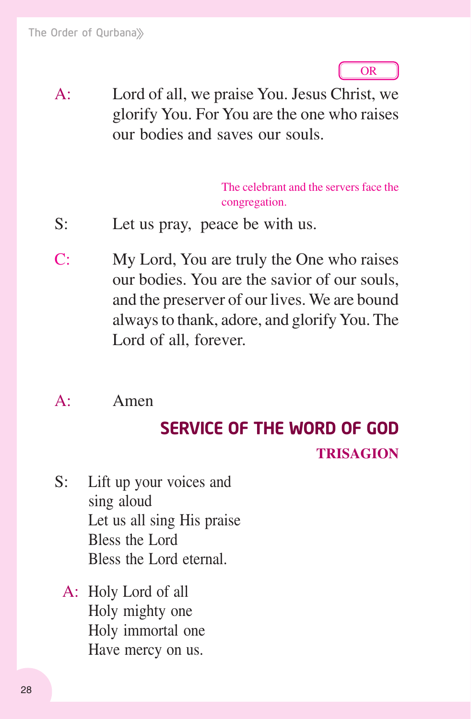

A: Lord of all, we praise You. Jesus Christ, we glorify You. For You are the one who raises our bodies and saves our souls.

> The celebrant and the servers face the congregation.

- S: Let us pray, peace be with us.
- C: My Lord, You are truly the One who raises our bodies. You are the savior of our souls, and the preserver of our lives. We are bound always to thank, adore, and glorify You. The Lord of all, forever.
- A: Amen

# **TRISAGION** SERVICE OF THE WORD OF GOD

- S: Lift up your voices and sing aloud Let us all sing His praise Bless the Lord Bless the Lord eternal.
	- A: Holy Lord of all Holy mighty one Holy immortal one Have mercy on us.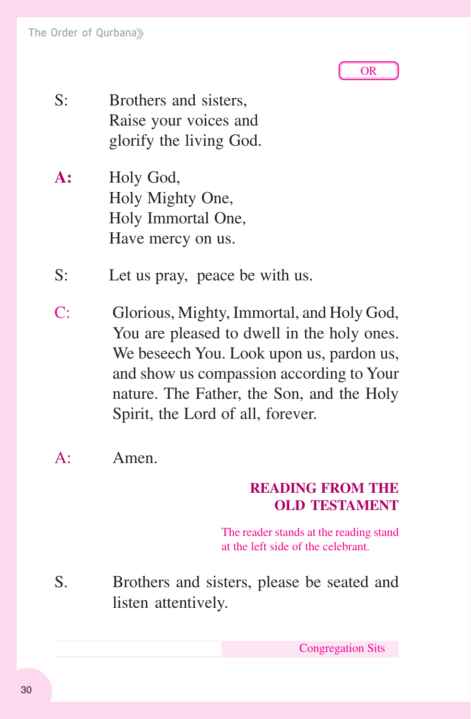

- S: Brothers and sisters, Raise your voices and glorify the living God.
- **A:** Holy God, Holy Mighty One, Holy Immortal One, Have mercy on us.
- S: Let us pray, peace be with us.
- C: Glorious, Mighty, Immortal, and Holy God, You are pleased to dwell in the holy ones. We beseech You. Look upon us, pardon us, and show us compassion according to Your nature. The Father, the Son, and the Holy Spirit, the Lord of all, forever.
- A: Amen.

# **READING FROM THE OLD TESTAMENT**

The reader stands at the reading stand at the left side of the celebrant.

S. Brothers and sisters, please be seated and listen attentively.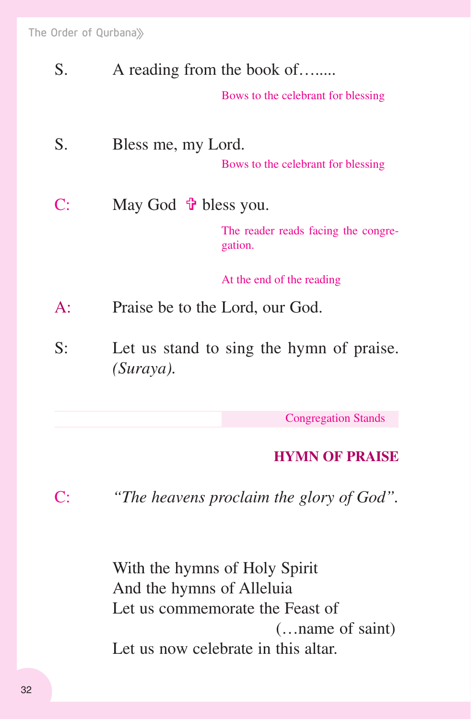| S.    | A reading from the book of               |                                                |
|-------|------------------------------------------|------------------------------------------------|
|       |                                          | Bows to the celebrant for blessing             |
| S.    | Bless me, my Lord.                       |                                                |
|       |                                          | Bows to the celebrant for blessing             |
| C:    | May God $\mathbf{\hat{\Psi}}$ bless you. |                                                |
|       |                                          | The reader reads facing the congre-<br>gation. |
|       |                                          | At the end of the reading                      |
| $A$ : | Praise be to the Lord, our God.          |                                                |
| S:    | $(Suraya)$ .                             | Let us stand to sing the hymn of praise.       |
|       |                                          |                                                |

Congregation Stands

# **HYMN OF PRAISE**

C: *"The heavens proclaim the glory of God".*

 With the hymns of Holy Spirit And the hymns of Alleluia Let us commemorate the Feast of (…name of saint) Let us now celebrate in this altar.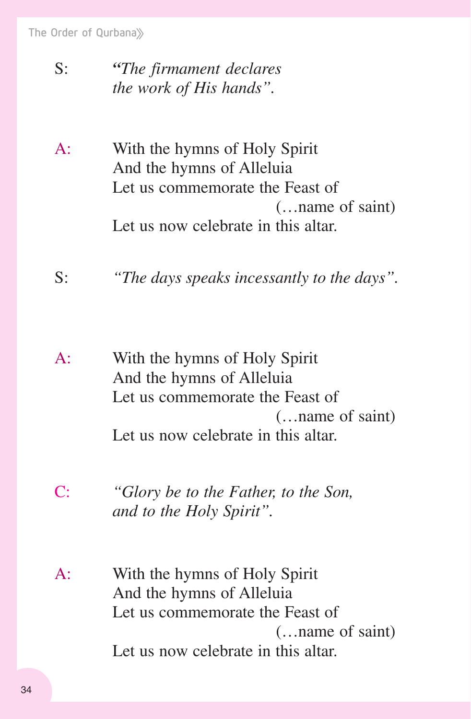The Order of Qurbana

# S: *"The firmament declares the work of His hands".*

- A: With the hymns of Holy Spirit And the hymns of Alleluia Let us commemorate the Feast of (…name of saint) Let us now celebrate in this altar.
- S: *"The days speaks incessantly to the days".*
- A: With the hymns of Holy Spirit And the hymns of Alleluia Let us commemorate the Feast of (…name of saint) Let us now celebrate in this altar.
- C: *"Glory be to the Father, to the Son, and to the Holy Spirit".*
- A: With the hymns of Holy Spirit And the hymns of Alleluia Let us commemorate the Feast of (…name of saint) Let us now celebrate in this altar.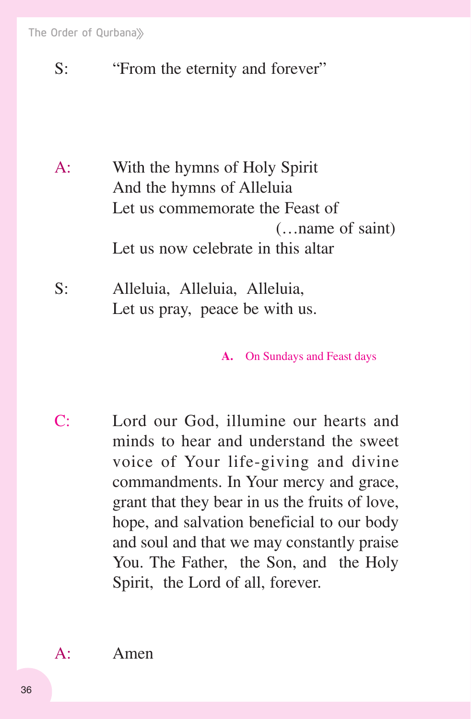The Order of Qurbana

S: "From the eternity and forever"

A: With the hymns of Holy Spirit And the hymns of Alleluia Let us commemorate the Feast of (…name of saint) Let us now celebrate in this altar

S: Alleluia, Alleluia, Alleluia, Let us pray, peace be with us.

**A.** On Sundays and Feast days

C: Lord our God, illumine our hearts and minds to hear and understand the sweet voice of Your life-giving and divine commandments. In Your mercy and grace, grant that they bear in us the fruits of love, hope, and salvation beneficial to our body and soul and that we may constantly praise You. The Father, the Son, and the Holy Spirit, the Lord of all, forever.

A: Amen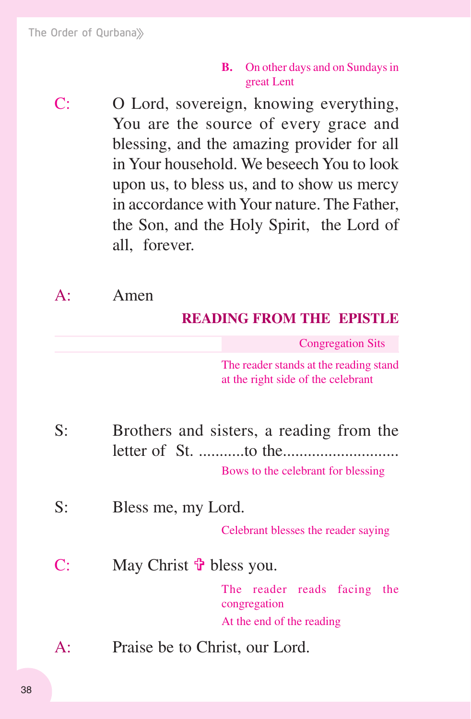#### **B.** On other days and on Sundays in great Lent

C: O Lord, sovereign, knowing everything, You are the source of every grace and blessing, and the amazing provider for all in Your household. We beseech You to look upon us, to bless us, and to show us mercy in accordance with Your nature. The Father, the Son, and the Holy Spirit, the Lord of all, forever.

A: Amen

# **READING FROM THE EPISTLE**

Congregation Sits

The reader stands at the reading stand at the right side of the celebrant

- S: Brothers and sisters, a reading from the letter of St. ...........to the............................ Bows to the celebrant for blessing
- S: Bless me, my Lord.

Celebrant blesses the reader saying

C: May Christ  $\mathbf{\hat{\Phi}}$  bless you.

The reader reads facing the congregation At the end of the reading

A: Praise be to Christ, our Lord.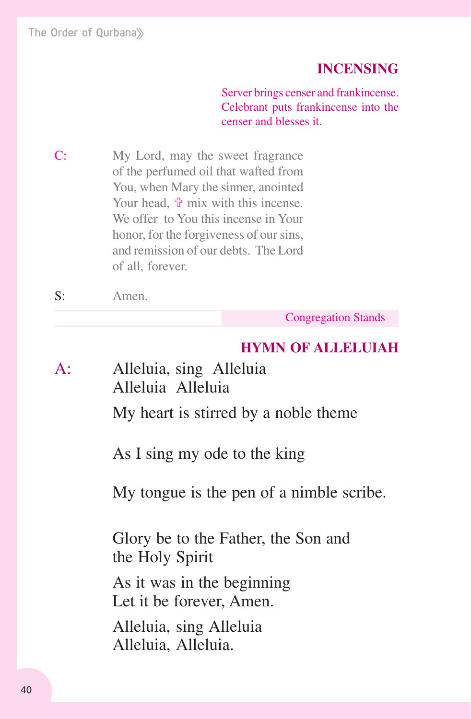The Order of Qurbana

## **INCENSING**

Server brings censer and frankincense. Celebrant puts frankincense into the censer and blesses it.

C: My Lord, may the sweet fragrance of the perfumed oil that wafted from You, when Mary the sinner, anointed Your head,  $\Phi$  mix with this incense. We offer to You this incense in Your honor, for the forgiveness of our sins, and remission of our debts. The Lord of all, forever.

S: Amen.

Congregation Stands

#### **HYMN OF ALLELUIAH**

A: Alleluia, sing Alleluia Alleluia Alleluia My heart is stirred by a noble theme

As I sing my ode to the king

My tongue is the pen of a nimble scribe.

 Glory be to the Father, the Son and the Holy Spirit

 As it was in the beginning Let it be forever, Amen.

 Alleluia, sing Alleluia Alleluia, Alleluia.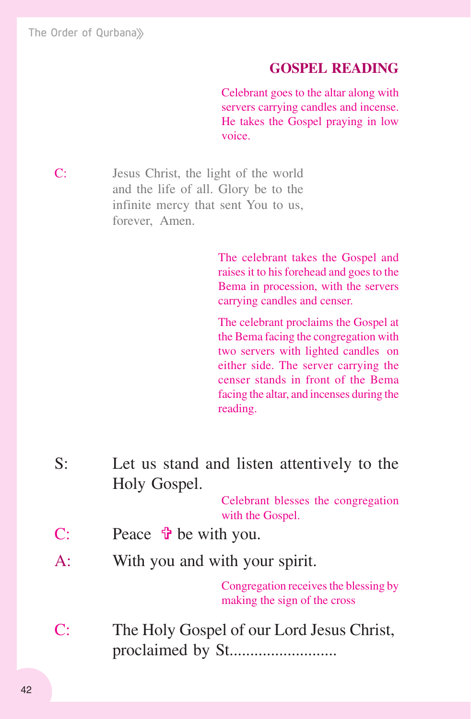#### **GOSPEL READING**

Celebrant goes to the altar along with servers carrying candles and incense. He takes the Gospel praying in low voice.

C: Jesus Christ, the light of the world and the life of all. Glory be to the infinite mercy that sent You to us, forever, Amen.

> The celebrant takes the Gospel and raises it to his forehead and goes to the Bema in procession, with the servers carrying candles and censer.

> The celebrant proclaims the Gospel at the Bema facing the congregation with two servers with lighted candles on either side. The server carrying the censer stands in front of the Bema facing the altar, and incenses during the reading.

S: Let us stand and listen attentively to the Holy Gospel.

> Celebrant blesses the congregation with the Gospel.

- C: Peace  $\mathbf{\hat{\Phi}}$  be with you.
- A: With you and with your spirit.

Congregation receives the blessing by making the sign of the cross

C: The Holy Gospel of our Lord Jesus Christ, proclaimed by St..........................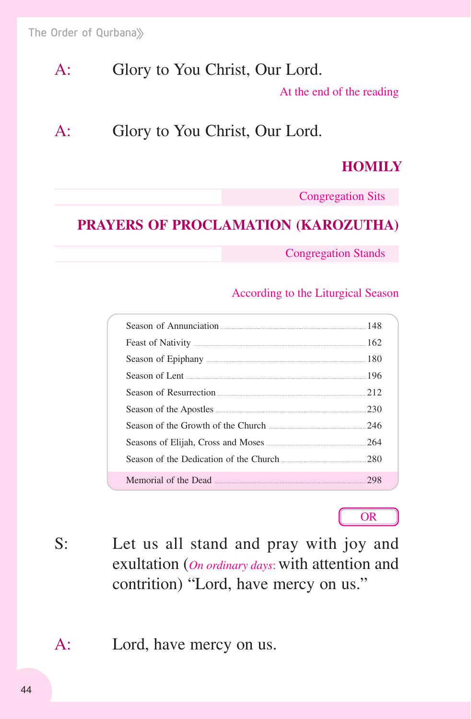# A: Glory to You Christ, Our Lord.

At the end of the reading

# A: Glory to You Christ, Our Lord.

## **HOMILY**

Congregation Sits

# **PRAYERS OF PROCLAMATION (KAROZUTHA)**

Congregation Stands

#### According to the Liturgical Season

| Season of Annunciation 2008 and 2008 and 2008 and 2008 and 2008 and 2008 and 2008 and 2008 and 2008 and 2008 and 2008 and 2008 and 2008 and 2008 and 2008 and 2008 and 2008 and 2008 and 2008 and 2008 and 2008 and 2008 and 2 |     |
|--------------------------------------------------------------------------------------------------------------------------------------------------------------------------------------------------------------------------------|-----|
|                                                                                                                                                                                                                                |     |
|                                                                                                                                                                                                                                |     |
| Season of Lent 2008 and 2008 and 2008 and 2008 and 2008 and 2008 and 2008 and 2008 and 2008 and 2008 and 2008 and 2008 and 2008 and 2008 and 2008 and 2008 and 2008 and 2008 and 2008 and 2008 and 2008 and 2008 and 2008 and  |     |
| Season of Resurrection <u>manual community</u> and the 212                                                                                                                                                                     |     |
| Season of the Apostles <b>Example 20</b> Season of the Apostles <b>Example 20</b> Season of the Apostles                                                                                                                       | 230 |
| Season of the Growth of the Church                                                                                                                                                                                             | 246 |
|                                                                                                                                                                                                                                |     |
|                                                                                                                                                                                                                                | 280 |
| Memorial of the Dead                                                                                                                                                                                                           | 298 |



- S: Let us all stand and pray with joy and exultation (*On ordinary days*: with attention and contrition) "Lord, have mercy on us."
- A: Lord, have mercy on us.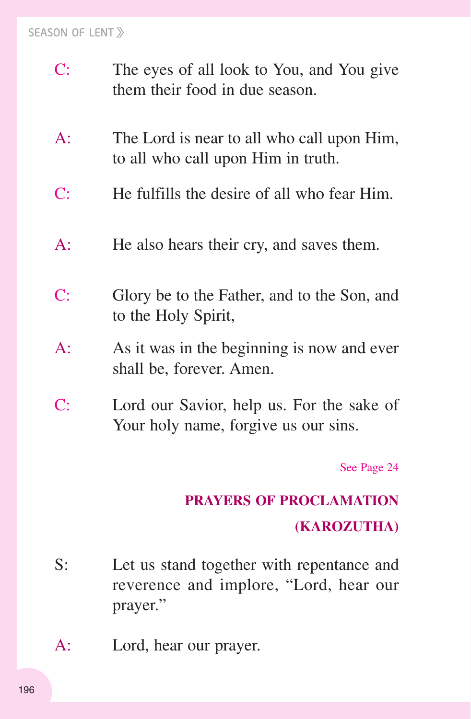#### SEASON OF LENT

- C: The eyes of all look to You, and You give them their food in due season.
- A: The Lord is near to all who call upon Him, to all who call upon Him in truth.
- C: He fulfills the desire of all who fear Him.
- A: He also hears their cry, and saves them.
- C: Glory be to the Father, and to the Son, and to the Holy Spirit,
- A: As it was in the beginning is now and ever shall be, forever. Amen.
- C: Lord our Savior, help us. For the sake of Your holy name, forgive us our sins.

See Page 24

## **PRAYERS OF PROCLAMATION**

#### **(KAROZUTHA)**

- S: Let us stand together with repentance and reverence and implore, "Lord, hear our prayer."
- A: Lord, hear our prayer.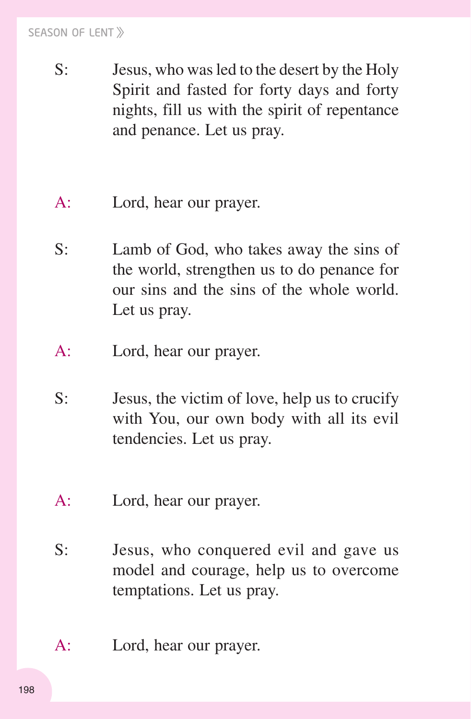#### SEASON OF LENT

- S: Jesus, who was led to the desert by the Holy Spirit and fasted for forty days and forty nights, fill us with the spirit of repentance and penance. Let us pray.
- A: Lord, hear our prayer.
- S: Lamb of God, who takes away the sins of the world, strengthen us to do penance for our sins and the sins of the whole world. Let us pray.
- A: Lord, hear our prayer.
- S: Jesus, the victim of love, help us to crucify with You, our own body with all its evil tendencies. Let us pray.
- A: Lord, hear our prayer.
- S: Jesus, who conquered evil and gave us model and courage, help us to overcome temptations. Let us pray.
- A: Lord, hear our prayer.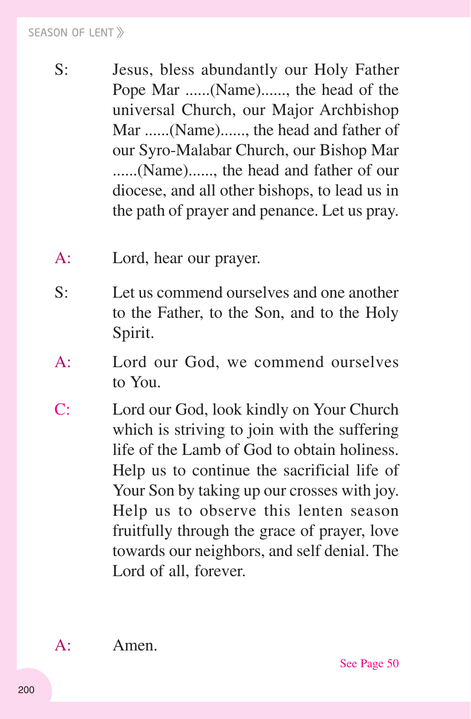- S: Jesus, bless abundantly our Holy Father Pope Mar ......(Name)......, the head of the universal Church, our Major Archbishop Mar ......(Name)......, the head and father of our Syro-Malabar Church, our Bishop Mar ......(Name)......, the head and father of our diocese, and all other bishops, to lead us in the path of prayer and penance. Let us pray.
- A: Lord, hear our prayer.
- S: Let us commend ourselves and one another to the Father, to the Son, and to the Holy Spirit.
- A: Lord our God, we commend ourselves to You.
- C: Lord our God, look kindly on Your Church which is striving to join with the suffering life of the Lamb of God to obtain holiness. Help us to continue the sacrificial life of Your Son by taking up our crosses with joy. Help us to observe this lenten season fruitfully through the grace of prayer, love towards our neighbors, and self denial. The Lord of all, forever.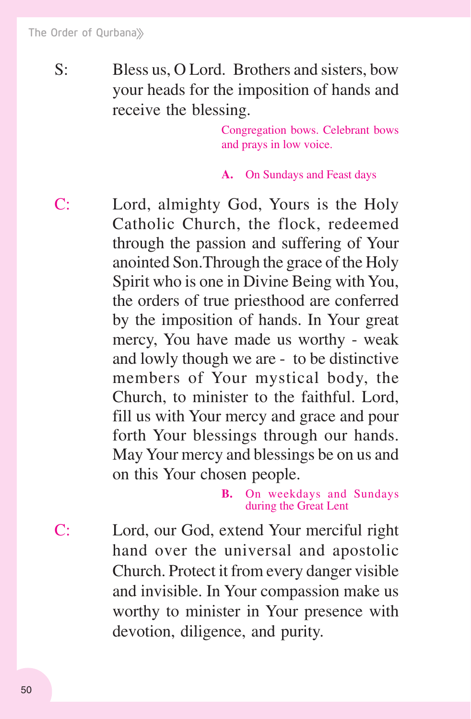S: Bless us, O Lord. Brothers and sisters, bow your heads for the imposition of hands and receive the blessing.

> Congregation bows. Celebrant bows and prays in low voice.

**A.** On Sundays and Feast days

C: Lord, almighty God, Yours is the Holy Catholic Church, the flock, redeemed through the passion and suffering of Your anointed Son.Through the grace of the Holy Spirit who is one in Divine Being with You, the orders of true priesthood are conferred by the imposition of hands. In Your great mercy, You have made us worthy - weak and lowly though we are - to be distinctive members of Your mystical body, the Church, to minister to the faithful. Lord, fill us with Your mercy and grace and pour forth Your blessings through our hands. May Your mercy and blessings be on us and on this Your chosen people.

> **B.** On weekdays and Sundays during the Great Lent

C: Lord, our God, extend Your merciful right hand over the universal and apostolic Church. Protect it from every danger visible and invisible. In Your compassion make us worthy to minister in Your presence with devotion, diligence, and purity.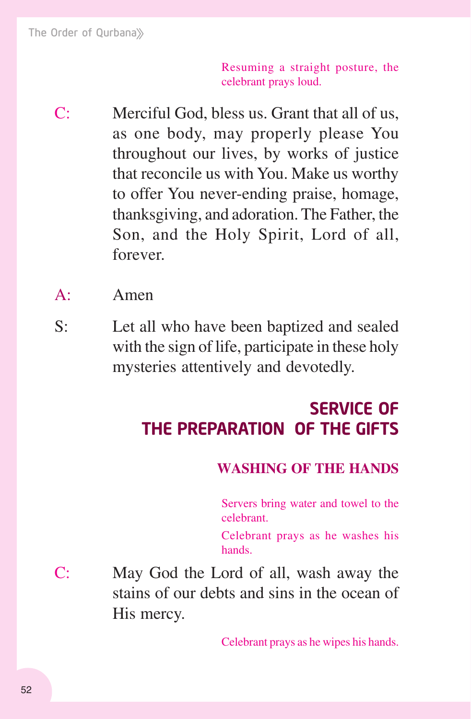Resuming a straight posture, the celebrant prays loud.

- C: Merciful God, bless us. Grant that all of us, as one body, may properly please You throughout our lives, by works of justice that reconcile us with You. Make us worthy to offer You never-ending praise, homage, thanksgiving, and adoration. The Father, the Son, and the Holy Spirit, Lord of all, forever.
- A: Amen
- S: Let all who have been baptized and sealed with the sign of life, participate in these holy mysteries attentively and devotedly.

# SERVICE OF THE PREPARATION OF THE GIFTS

## **WASHING OF THE HANDS**

Servers bring water and towel to the celebrant.

Celebrant prays as he washes his hands.

C: May God the Lord of all, wash away the stains of our debts and sins in the ocean of His mercy.

Celebrant prays as he wipes his hands.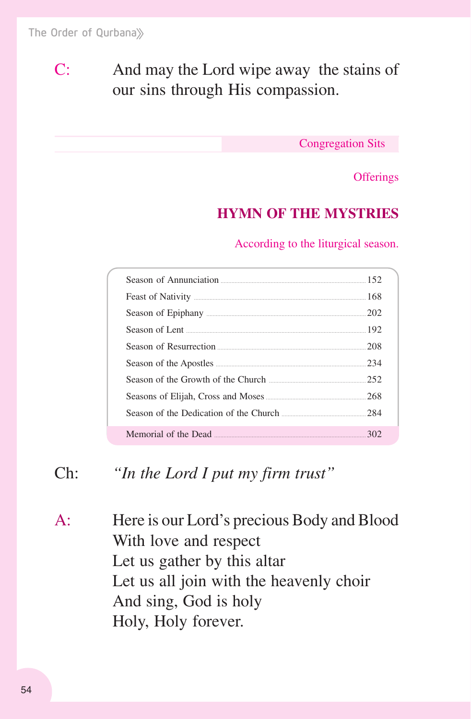C: And may the Lord wipe away the stains of our sins through His compassion.

Congregation Sits

**Offerings** 

# **HYMN OF THE MYSTRIES**

According to the liturgical season.

| Season of Annunciation 2000 and 2000 and 2000 and 2000 and 2000 and 2000 and 2000 and 2000 and 2000 and 2000 and 2000 and 2000 and 2000 and 2000 and 2000 and 2000 and 2000 and 2000 and 2000 and 2000 and 2000 and 2000 and 2 |     |
|--------------------------------------------------------------------------------------------------------------------------------------------------------------------------------------------------------------------------------|-----|
|                                                                                                                                                                                                                                |     |
|                                                                                                                                                                                                                                |     |
| Season of Lent 2008 and 2008 and 2008 and 2008 and 2008 and 2008 and 2008 and 2008 and 2008 and 2008 and 2008 and 2008 and 2008 and 2008 and 2008 and 2008 and 2008 and 2008 and 2008 and 2008 and 2008 and 2008 and 2008 and  |     |
| Season of Resurrection <u>manual community</u> and the 208                                                                                                                                                                     |     |
|                                                                                                                                                                                                                                | 234 |
| Season of the Growth of the Church                                                                                                                                                                                             | 252 |
|                                                                                                                                                                                                                                |     |
| Season of the Dedication of the Church <u>[</u> [11] Season of the Dedication of the Church <b>[284]</b>                                                                                                                       |     |
| Memorial of the Dead <u>manual community</u> and the 302                                                                                                                                                                       |     |

# Ch: *"In the Lord I put my firm trust"*

A: Here is our Lord's precious Body and Blood With love and respect Let us gather by this altar Let us all join with the heavenly choir And sing, God is holy Holy, Holy forever.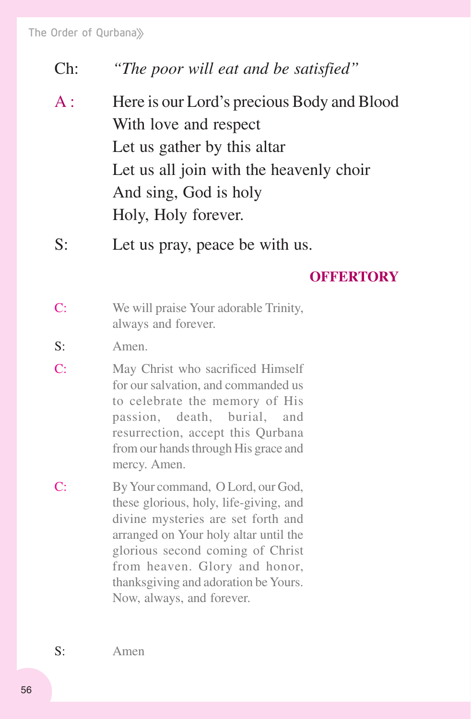Ch:*"The poor will eat and be satisfied"*

- A : Here is our Lord's precious Body and Blood With love and respect Let us gather by this altar Let us all join with the heavenly choir And sing, God is holy Holy, Holy forever.
- S: Let us pray, peace be with us.

#### **OFFERTORY**

- C: We will praise Your adorable Trinity, always and forever.
- S: Amen.
- C: May Christ who sacrificed Himself for our salvation, and commanded us to celebrate the memory of His passion, death, burial, and resurrection, accept this Qurbana from our hands through His grace and mercy. Amen.
- C: By Your command, O Lord, our God, these glorious, holy, life-giving, and divine mysteries are set forth and arranged on Your holy altar until the glorious second coming of Christ from heaven. Glory and honor, thanksgiving and adoration be Yours. Now, always, and forever.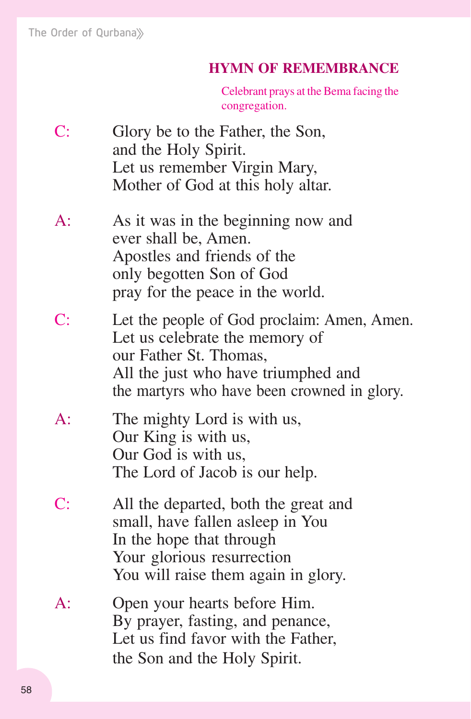#### **HYMN OF REMEMBRANCE**

Celebrant prays at the Bema facing the congregation.

- C: Glory be to the Father, the Son, and the Holy Spirit. Let us remember Virgin Mary, Mother of God at this holy altar.
- A: As it was in the beginning now and ever shall be, Amen. Apostles and friends of the only begotten Son of God pray for the peace in the world.
- C: Let the people of God proclaim: Amen, Amen. Let us celebrate the memory of our Father St. Thomas, All the just who have triumphed and the martyrs who have been crowned in glory.
- A: The mighty Lord is with us, Our King is with us, Our God is with us, The Lord of Jacob is our help.
- C: All the departed, both the great and small, have fallen asleep in You In the hope that through Your glorious resurrection You will raise them again in glory.
- A: Open your hearts before Him. By prayer, fasting, and penance, Let us find favor with the Father, the Son and the Holy Spirit.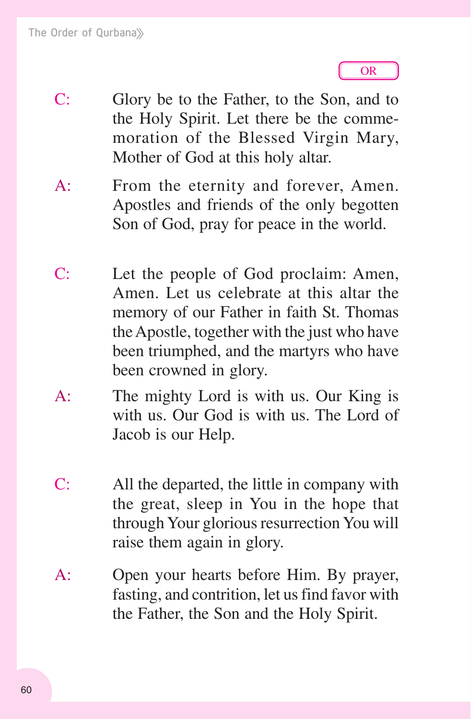

- C: Glory be to the Father, to the Son, and to the Holy Spirit. Let there be the commemoration of the Blessed Virgin Mary, Mother of God at this holy altar.
- A: From the eternity and forever, Amen. Apostles and friends of the only begotten Son of God, pray for peace in the world.
- C: Let the people of God proclaim: Amen, Amen. Let us celebrate at this altar the memory of our Father in faith St. Thomas the Apostle, together with the just who have been triumphed, and the martyrs who have been crowned in glory.
- A: The mighty Lord is with us. Our King is with us. Our God is with us. The Lord of Jacob is our Help.
- C: All the departed, the little in company with the great, sleep in You in the hope that through Your glorious resurrection You will raise them again in glory.
- A: Open your hearts before Him. By prayer, fasting, and contrition, let us find favor with the Father, the Son and the Holy Spirit.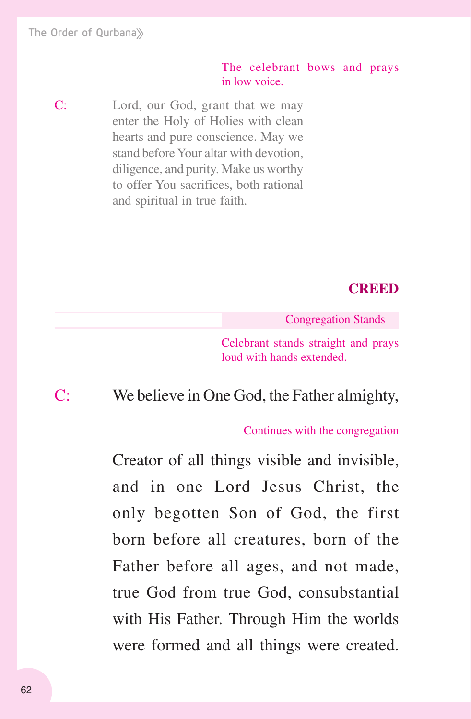#### The celebrant bows and prays in low voice.

C: Lord, our God, grant that we may enter the Holy of Holies with clean hearts and pure conscience. May we stand before Your altar with devotion, diligence, and purity. Make us worthy to offer You sacrifices, both rational and spiritual in true faith.

## **CREED**

Congregation Stands

Celebrant stands straight and prays loud with hands extended.

# C: We believe in One God, the Father almighty,

#### Continues with the congregation

Creator of all things visible and invisible, and in one Lord Jesus Christ, the only begotten Son of God, the first born before all creatures, born of the Father before all ages, and not made, true God from true God, consubstantial with His Father. Through Him the worlds were formed and all things were created.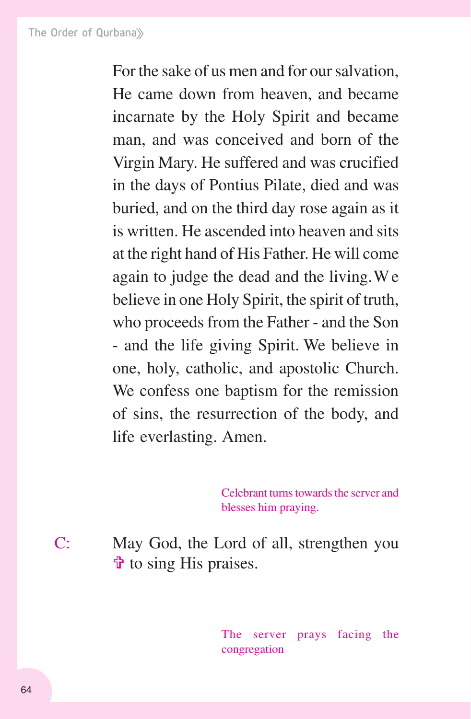For the sake of us men and for our salvation, He came down from heaven, and became incarnate by the Holy Spirit and became man, and was conceived and born of the Virgin Mary. He suffered and was crucified in the days of Pontius Pilate, died and was buried, and on the third day rose again as it is written. He ascended into heaven and sits at the right hand of His Father. He will come again to judge the dead and the living.We believe in one Holy Spirit, the spirit of truth, who proceeds from the Father - and the Son - and the life giving Spirit. We believe in one, holy, catholic, and apostolic Church. We confess one baptism for the remission of sins, the resurrection of the body, and life everlasting. Amen.

> Celebrant turns towards the server and blesses him praying.

C: May God, the Lord of all, strengthen you  $\ddot{\mathbf{\Phi}}$  to sing His praises.

> The server prays facing the congregation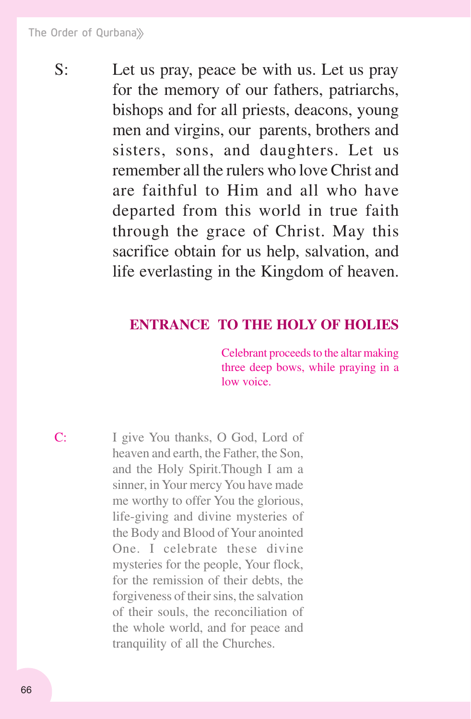S: Let us pray, peace be with us. Let us pray for the memory of our fathers, patriarchs, bishops and for all priests, deacons, young men and virgins, our parents, brothers and sisters, sons, and daughters. Let us remember all the rulers who love Christ and are faithful to Him and all who have departed from this world in true faith through the grace of Christ. May this sacrifice obtain for us help, salvation, and life everlasting in the Kingdom of heaven.

## **ENTRANCE TO THE HOLY OF HOLIES**

Celebrant proceeds to the altar making three deep bows, while praying in a low voice.

C: I give You thanks, O God, Lord of heaven and earth, the Father, the Son, and the Holy Spirit.Though I am a sinner, in Your mercy You have made me worthy to offer You the glorious, life-giving and divine mysteries of the Body and Blood of Your anointed One. I celebrate these divine mysteries for the people, Your flock, for the remission of their debts, the forgiveness of their sins, the salvation of their souls, the reconciliation of the whole world, and for peace and tranquility of all the Churches.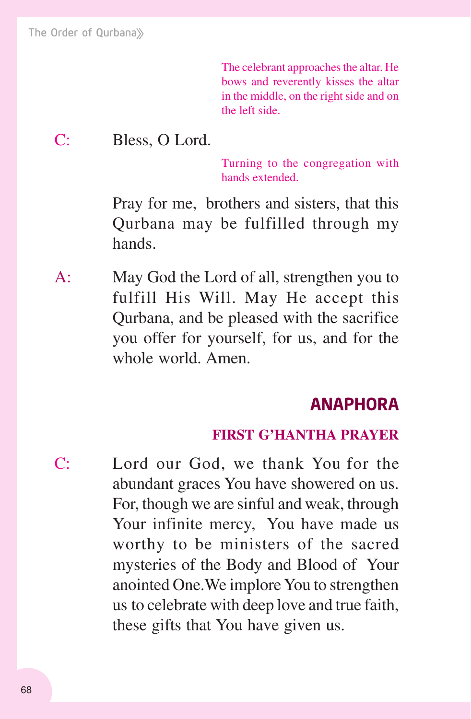The celebrant approaches the altar. He bows and reverently kisses the altar in the middle, on the right side and on the left side.

# C: Bless, O Lord.

Turning to the congregation with hands extended.

Pray for me, brothers and sisters, that this Qurbana may be fulfilled through my hands.

A: May God the Lord of all, strengthen you to fulfill His Will. May He accept this Qurbana, and be pleased with the sacrifice you offer for yourself, for us, and for the whole world. Amen.

# ANAPHORA

#### **FIRST G'HANTHA PRAYER**

C: Lord our God, we thank You for the abundant graces You have showered on us. For, though we are sinful and weak, through Your infinite mercy, You have made us worthy to be ministers of the sacred mysteries of the Body and Blood of Your anointed One.We implore You to strengthen us to celebrate with deep love and true faith, these gifts that You have given us.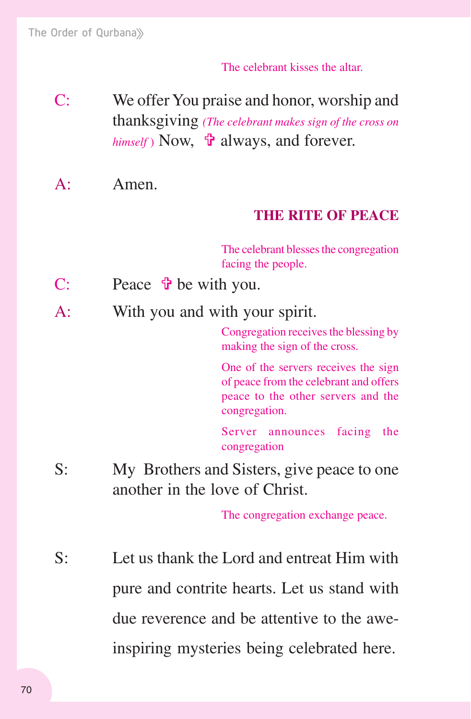#### The celebrant kisses the altar.

- C: We offer You praise and honor, worship and thanksgiving *(The celebrant makes sign of the cross on himself*) Now,  $\mathbf{\hat{\mathbf{r}}}$  always, and forever.
- A: Amen.

## **THE RITE OF PEACE**

The celebrant blesses the congregation facing the people.

- C: Peace  $\mathbf{\hat{v}}$  be with you.
- A: With you and with your spirit.

Congregation receives the blessing by making the sign of the cross.

One of the servers receives the sign of peace from the celebrant and offers peace to the other servers and the congregation.

Server announces facing the congregation

S: My Brothers and Sisters, give peace to one another in the love of Christ.

The congregation exchange peace.

S: Let us thank the Lord and entreat Him with pure and contrite hearts. Let us stand with due reverence and be attentive to the aweinspiring mysteries being celebrated here.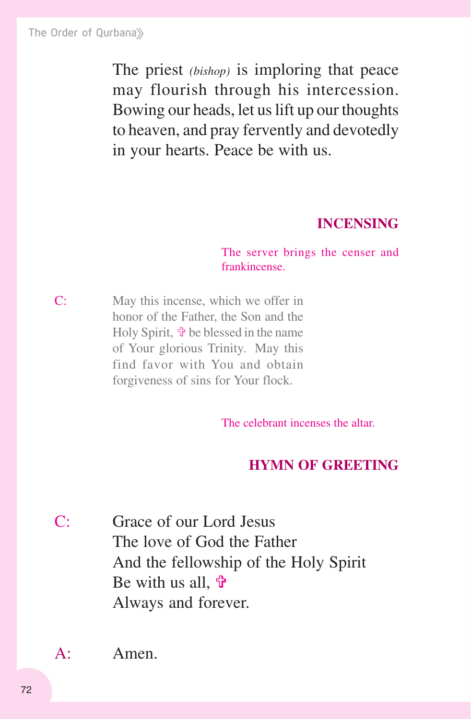The priest *(bishop)* is imploring that peace may flourish through his intercession. Bowing our heads, let us lift up our thoughts to heaven, and pray fervently and devotedly in your hearts. Peace be with us.

#### **INCENSING**

The server brings the censer and frankincense.

C: May this incense, which we offer in honor of the Father, the Son and the Holy Spirit,  $\mathbf{\hat{v}}$  be blessed in the name of Your glorious Trinity. May this find favor with You and obtain forgiveness of sins for Your flock.

The celebrant incenses the altar.

## **HYMN OF GREETING**

C: Grace of our Lord Jesus The love of God the Father And the fellowship of the Holy Spirit Be with us all,  $\mathbf{\hat{\theta}}$ Always and forever.

A: Amen.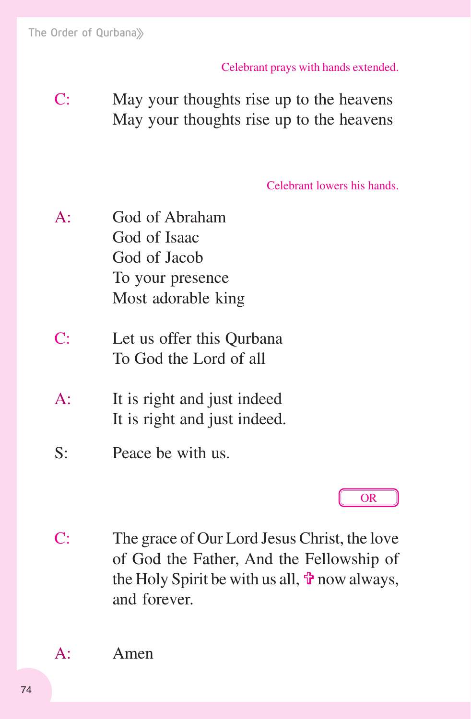Celebrant prays with hands extended.

C: May your thoughts rise up to the heavens May your thoughts rise up to the heavens

Celebrant lowers his hands.

A: God of Abraham God of Isaac God of Jacob To your presence Most adorable king

- C: Let us offer this Qurbana To God the Lord of all
- A: It is right and just indeed It is right and just indeed.
- S: Peace be with us.

# OR

C: The grace of Our Lord Jesus Christ, the love of God the Father, And the Fellowship of the Holy Spirit be with us all,  $\ddot{\mathbf{r}}$  now always, and forever.

A: Amen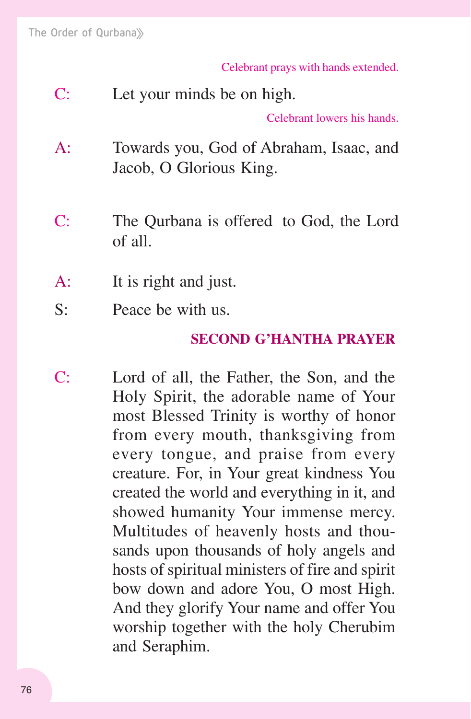Celebrant prays with hands extended.

C: Let your minds be on high.

Celebrant lowers his hands.

- A: Towards you, God of Abraham, Isaac, and Jacob, O Glorious King.
- C: The Qurbana is offered to God, the Lord of all.
- A: It is right and just.
- S: Peace be with us.

#### **SECOND G'HANTHA PRAYER**

C: Lord of all, the Father, the Son, and the Holy Spirit, the adorable name of Your most Blessed Trinity is worthy of honor from every mouth, thanksgiving from every tongue, and praise from every creature. For, in Your great kindness You created the world and everything in it, and showed humanity Your immense mercy. Multitudes of heavenly hosts and thousands upon thousands of holy angels and hosts of spiritual ministers of fire and spirit bow down and adore You, O most High. And they glorify Your name and offer You worship together with the holy Cherubim and Seraphim.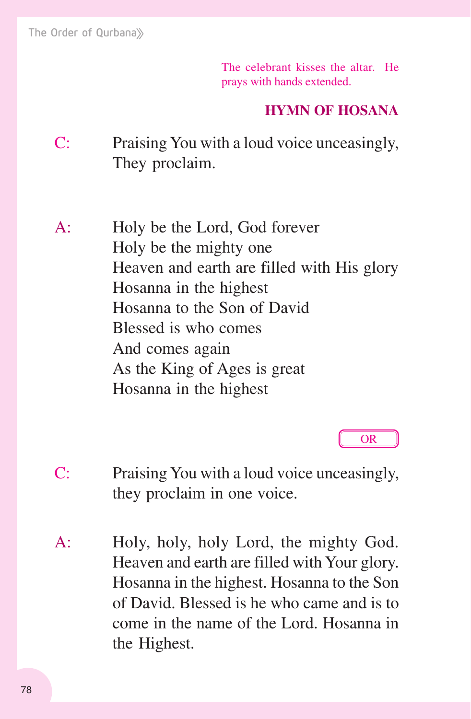The celebrant kisses the altar. He prays with hands extended.

# **HYMN OF HOSANA**

C: Praising You with a loud voice unceasingly, They proclaim.

A: Holy be the Lord, God forever Holy be the mighty one Heaven and earth are filled with His glory Hosanna in the highest Hosanna to the Son of David Blessed is who comes And comes again As the King of Ages is great Hosanna in the highest

OR

- C: Praising You with a loud voice unceasingly, they proclaim in one voice.
- A: Holy, holy, holy Lord, the mighty God. Heaven and earth are filled with Your glory. Hosanna in the highest. Hosanna to the Son of David. Blessed is he who came and is to come in the name of the Lord. Hosanna in the Highest.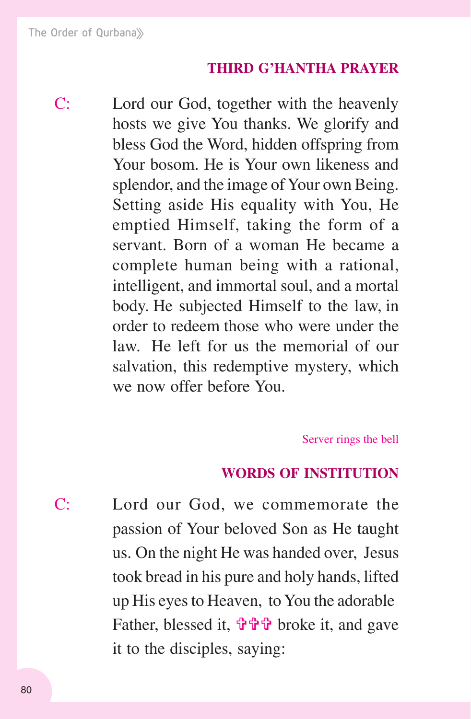## **THIRD G'HANTHA PRAYER**

C: Lord our God, together with the heavenly hosts we give You thanks. We glorify and bless God the Word, hidden offspring from Your bosom. He is Your own likeness and splendor, and the image of Your own Being. Setting aside His equality with You, He emptied Himself, taking the form of a servant. Born of a woman He became a complete human being with a rational, intelligent, and immortal soul, and a mortal body. He subjected Himself to the law, in order to redeem those who were under the law. He left for us the memorial of our salvation, this redemptive mystery, which we now offer before You.

Server rings the bell

#### **WORDS OF INSTITUTION**

C: Lord our God, we commemorate the passion of Your beloved Son as He taught us. On the night He was handed over, Jesus took bread in his pure and holy hands, lifted up His eyes to Heaven, to You the adorable Father, blessed it,  $\mathbf{\hat{\theta}} \mathbf{\hat{\theta}} \mathbf{\hat{\theta}}$  broke it, and gave it to the disciples, saying: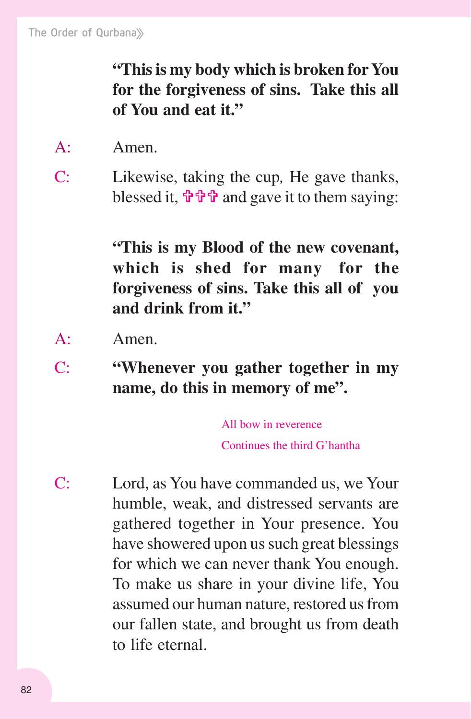**"This is my body which is broken for You for the forgiveness of sins. Take this all of You and eat it."**

- A: Amen.
- C: Likewise, taking the cup*,* He gave thanks, blessed it,  $\mathbf{\hat{\Psi}} \mathbf{\hat{\Psi}} \mathbf{\hat{\Psi}}$  and gave it to them saying:

**"This is my Blood of the new covenant, which is shed for many for the forgiveness of sins. Take this all of you and drink from it."**

- A: Amen.
- C: **"Whenever you gather together in my name, do this in memory of me".**

All bow in reverence Continues the third G'hantha

C: Lord, as You have commanded us, we Your humble, weak, and distressed servants are gathered together in Your presence. You have showered upon us such great blessings for which we can never thank You enough. To make us share in your divine life, You assumed our human nature, restored us from our fallen state, and brought us from death to life eternal.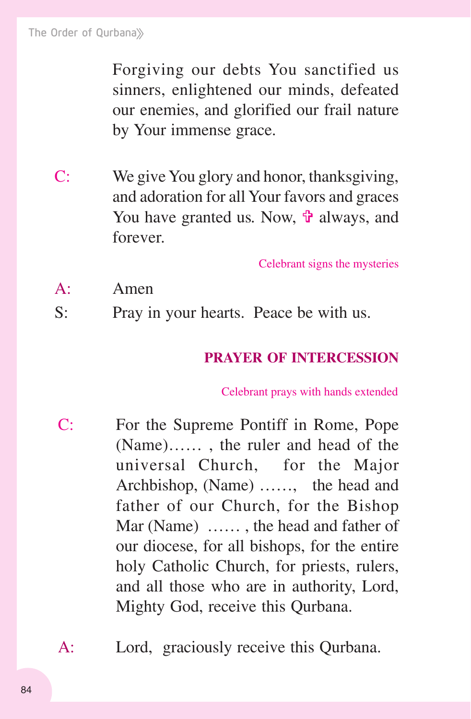Forgiving our debts You sanctified us sinners, enlightened our minds, defeated our enemies, and glorified our frail nature by Your immense grace.

C: We give You glory and honor, thanksgiving, and adoration for all Your favors and graces You have granted us. Now, **the** always, and forever.

Celebrant signs the mysteries

- A: Amen
- S: Pray in your hearts. Peace be with us.

#### **PRAYER OF INTERCESSION**

Celebrant prays with hands extended

- C: For the Supreme Pontiff in Rome, Pope (Name)…… , the ruler and head of the universal Church, for the Major Archbishop, (Name) ……, the head and father of our Church, for the Bishop Mar (Name) …… , the head and father of our diocese, for all bishops, for the entire holy Catholic Church, for priests, rulers, and all those who are in authority, Lord, Mighty God, receive this Qurbana.
- A: Lord, graciously receive this Qurbana.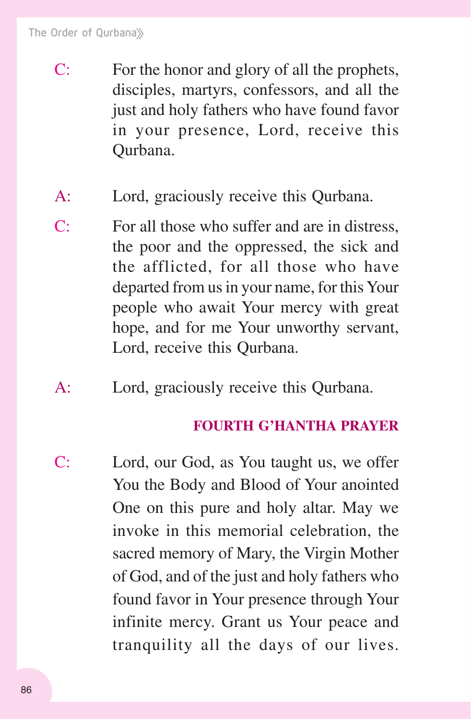- C: For the honor and glory of all the prophets, disciples, martyrs, confessors, and all the just and holy fathers who have found favor in your presence, Lord, receive this Qurbana.
- A: Lord, graciously receive this Qurbana.
- C: For all those who suffer and are in distress, the poor and the oppressed, the sick and the afflicted, for all those who have departed from us in your name, for this Your people who await Your mercy with great hope, and for me Your unworthy servant, Lord, receive this Qurbana.
- A: Lord, graciously receive this Qurbana.

#### **FOURTH G'HANTHA PRAYER**

C: Lord, our God, as You taught us, we offer You the Body and Blood of Your anointed One on this pure and holy altar. May we invoke in this memorial celebration, the sacred memory of Mary, the Virgin Mother of God, and of the just and holy fathers who found favor in Your presence through Your infinite mercy. Grant us Your peace and tranquility all the days of our lives.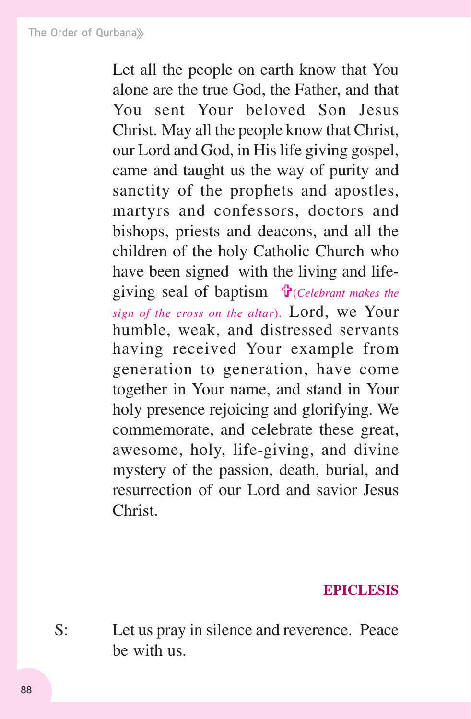Let all the people on earth know that You alone are the true God, the Father, and that You sent Your beloved Son Jesus Christ. May all the people know that Christ, our Lord and God, in His life giving gospel, came and taught us the way of purity and sanctity of the prophets and apostles, martyrs and confessors, doctors and bishops, priests and deacons, and all the children of the holy Catholic Church who have been signed with the living and lifegiving seal of baptism !(*Celebrant makes the sign of the cross on the altar*). Lord, we Your humble, weak, and distressed servants having received Your example from generation to generation, have come together in Your name, and stand in Your holy presence rejoicing and glorifying. We commemorate, and celebrate these great, awesome, holy, life-giving, and divine mystery of the passion, death, burial, and resurrection of our Lord and savior Jesus Christ.

#### **EPICLESIS**

S: Let us pray in silence and reverence. Peace be with us.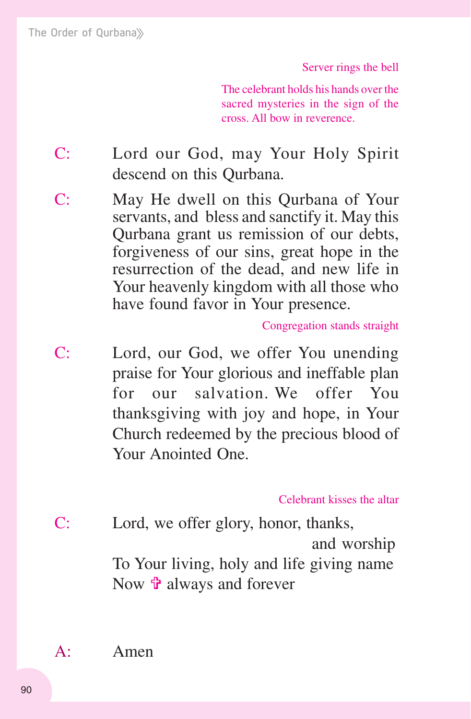Server rings the bell

The celebrant holds his hands over the sacred mysteries in the sign of the cross. All bow in reverence.

- C: Lord our God, may Your Holy Spirit descend on this Qurbana.
- C: May He dwell on this Qurbana of Your servants, and bless and sanctify it. May this Qurbana grant us remission of our debts, forgiveness of our sins, great hope in the resurrection of the dead, and new life in Your heavenly kingdom with all those who have found favor in Your presence.

Congregation stands straight

C: Lord, our God, we offer You unending praise for Your glorious and ineffable plan for our salvation. We offer You thanksgiving with joy and hope, in Your Church redeemed by the precious blood of Your Anointed One.

Celebrant kisses the altar

C: Lord, we offer glory, honor, thanks, and worship To Your living, holy and life giving name Now  $\hat{\mathbf{\tau}}$  always and forever

A: Amen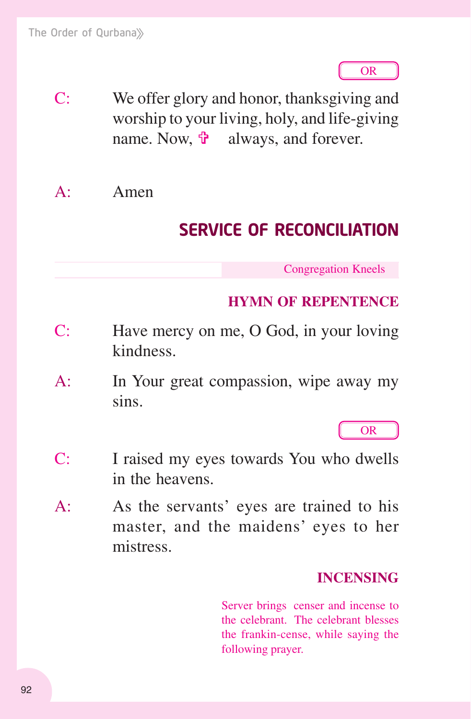OR

C: We offer glory and honor, thanksgiving and worship to your living, holy, and life-giving name. Now,  $\mathbf{\hat{v}}$  always, and forever.

A: Amen

# SERVICE OF RECONCILIATION

Congregation Kneels

# **HYMN OF REPENTENCE**

- C: Have mercy on me, O God, in your loving kindness.
- A: In Your great compassion, wipe away my sins.

OR

- C: I raised my eyes towards You who dwells in the heavens.
- A: As the servants' eyes are trained to his master, and the maidens' eyes to her mistress.

# **INCENSING**

Server brings censer and incense to the celebrant. The celebrant blesses the frankin-cense, while saying the following prayer.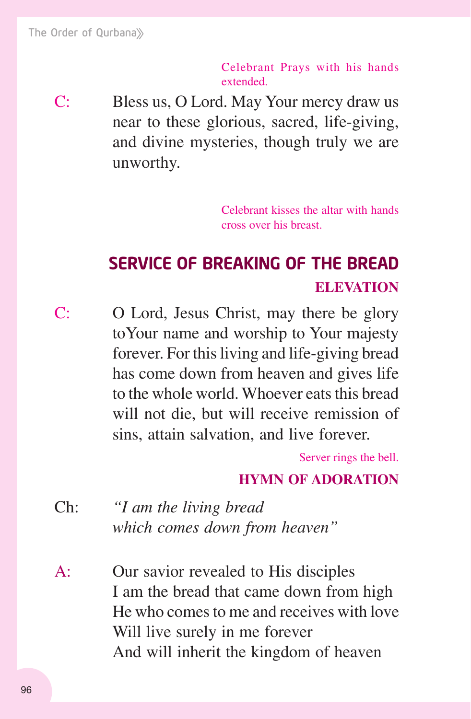Celebrant Prays with his hands extended.

C: Bless us, O Lord. May Your mercy draw us near to these glorious, sacred, life-giving, and divine mysteries, though truly we are unworthy.

> Celebrant kisses the altar with hands cross over his breast.

# SERVICE OF BREAKING OF THE BREAD **ELEVATION**

C: O Lord, Jesus Christ, may there be glory toYour name and worship to Your majesty forever. For this living and life-giving bread has come down from heaven and gives life to the whole world. Whoever eats this bread will not die, but will receive remission of sins, attain salvation, and live forever.

Server rings the bell.

# **HYMN OF ADORATION**

- Ch: *"I am the living bread which comes down from heaven"*
- A: Our savior revealed to His disciples I am the bread that came down from high He who comes to me and receives with love Will live surely in me forever And will inherit the kingdom of heaven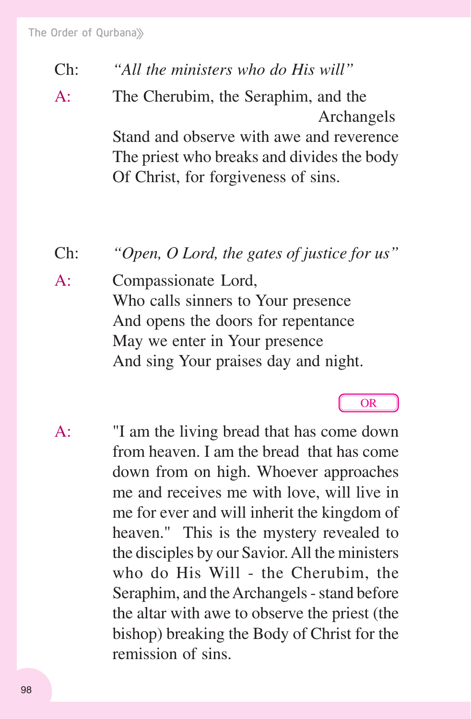- Ch: *"All the ministers who do His will"*
- A: The Cherubim, the Seraphim, and the Archangels Stand and observe with awe and reverence

 The priest who breaks and divides the body Of Christ, for forgiveness of sins.

Ch: *"Open, O Lord, the gates of justice for us"*

A: Compassionate Lord, Who calls sinners to Your presence And opens the doors for repentance May we enter in Your presence And sing Your praises day and night.

# OR

A: "I am the living bread that has come down from heaven. I am the bread that has come down from on high. Whoever approaches me and receives me with love, will live in me for ever and will inherit the kingdom of heaven." This is the mystery revealed to the disciples by our Savior. All the ministers who do His Will - the Cherubim, the Seraphim, and the Archangels - stand before the altar with awe to observe the priest (the bishop) breaking the Body of Christ for the remission of sins.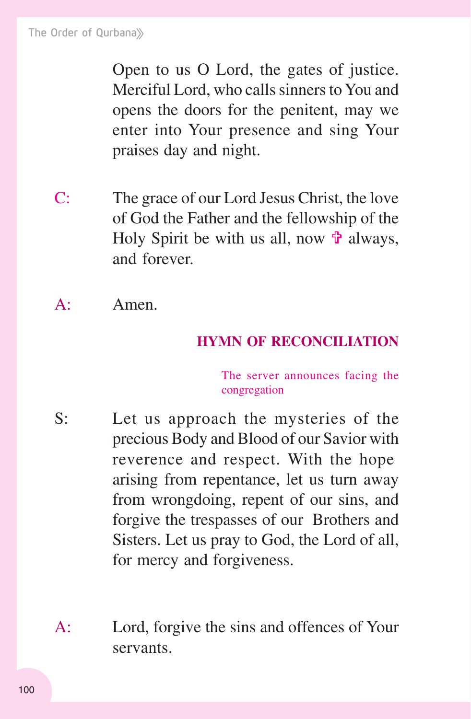Open to us O Lord, the gates of justice. Merciful Lord, who calls sinners to You and opens the doors for the penitent, may we enter into Your presence and sing Your praises day and night.

- C: The grace of our Lord Jesus Christ, the love of God the Father and the fellowship of the Holy Spirit be with us all, now  $\mathbf{\hat{v}}$  always, and forever.
- A: Amen.

# **HYMN OF RECONCILIATION**

The server announces facing the congregation

- S: Let us approach the mysteries of the precious Body and Blood of our Savior with reverence and respect. With the hope arising from repentance, let us turn away from wrongdoing, repent of our sins, and forgive the trespasses of our Brothers and Sisters. Let us pray to God, the Lord of all, for mercy and forgiveness.
- A: Lord, forgive the sins and offences of Your servants.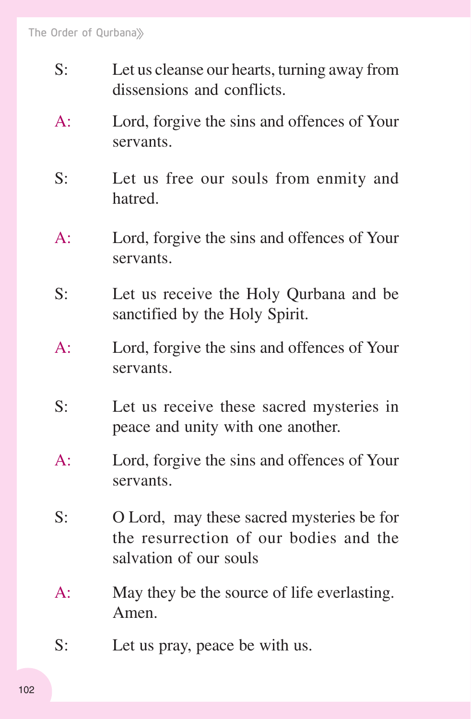- S: Let us cleanse our hearts, turning away from dissensions and conflicts.
- A: Lord, forgive the sins and offences of Your servants.
- S: Let us free our souls from enmity and hatred.
- A: Lord, forgive the sins and offences of Your servants.
- S: Let us receive the Holy Qurbana and be sanctified by the Holy Spirit.
- A: Lord, forgive the sins and offences of Your servants.
- S: Let us receive these sacred mysteries in peace and unity with one another.
- A: Lord, forgive the sins and offences of Your servants.
- S: O Lord, may these sacred mysteries be for the resurrection of our bodies and the salvation of our souls
- A: May they be the source of life everlasting. Amen.
- S: Let us pray, peace be with us.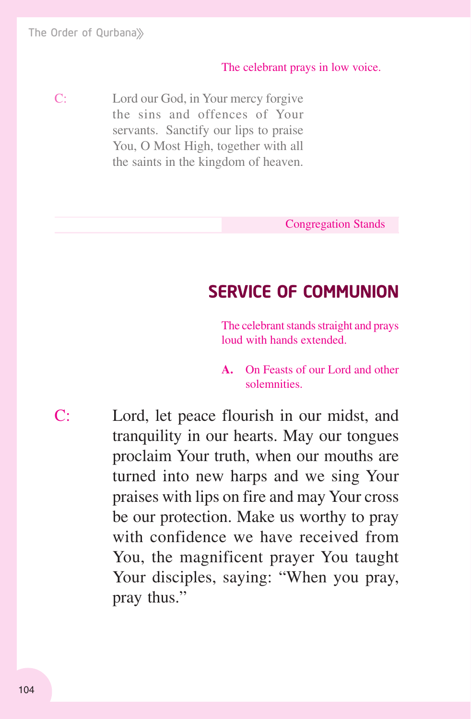#### The celebrant prays in low voice.

C: Lord our God, in Your mercy forgive the sins and offences of Your servants. Sanctify our lips to praise You, O Most High, together with all the saints in the kingdom of heaven.

Congregation Stands

# SERVICE OF COMMUNION

The celebrant stands straight and prays loud with hands extended.

**A.** On Feasts of our Lord and other solemnities.

C: Lord, let peace flourish in our midst, and tranquility in our hearts. May our tongues proclaim Your truth, when our mouths are turned into new harps and we sing Your praises with lips on fire and may Your cross be our protection. Make us worthy to pray with confidence we have received from You, the magnificent prayer You taught Your disciples, saying: "When you pray, pray thus."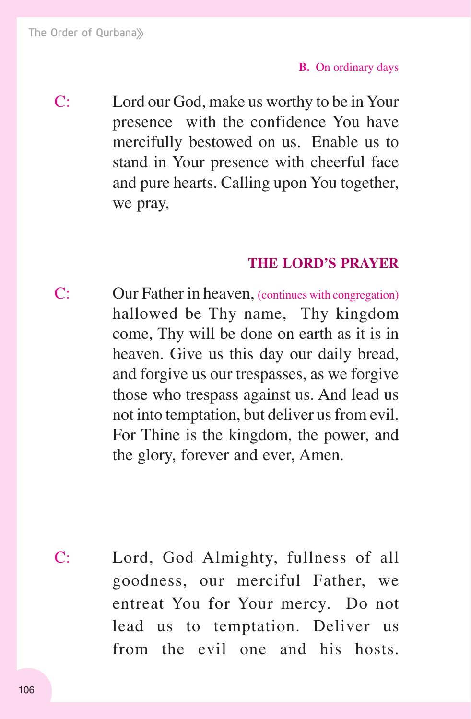C: Lord our God, make us worthy to be in Your presence with the confidence You have mercifully bestowed on us. Enable us to stand in Your presence with cheerful face and pure hearts. Calling upon You together, we pray,

#### **THE LORD'S PRAYER**

C: Our Father in heaven, (continues with congregation) hallowed be Thy name, Thy kingdom come, Thy will be done on earth as it is in heaven. Give us this day our daily bread, and forgive us our trespasses, as we forgive those who trespass against us. And lead us not into temptation, but deliver us from evil. For Thine is the kingdom, the power, and the glory, forever and ever, Amen.

C: Lord, God Almighty, fullness of all goodness, our merciful Father, we entreat You for Your mercy. Do not lead us to temptation. Deliver us from the evil one and his hosts.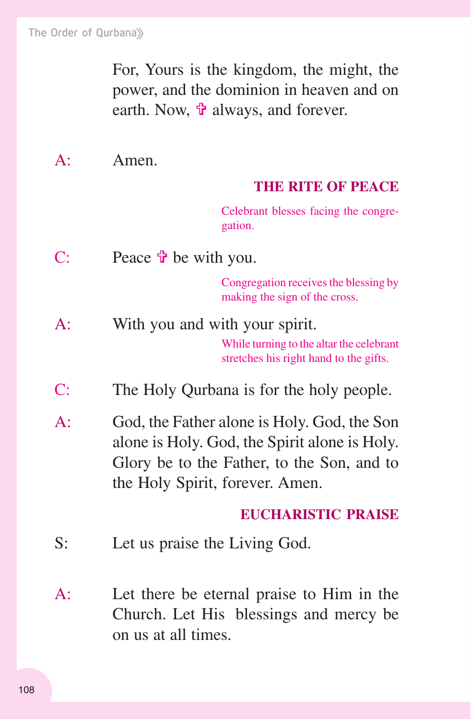For, Yours is the kingdom, the might, the power, and the dominion in heaven and on earth. Now,  $\hat{\mathbf{\tau}}$  always, and forever.

A: Amen.

#### **THE RITE OF PEACE**

Celebrant blesses facing the congregation.

C: Peace  $\mathbf{\hat{v}}$  be with you.

Congregation receives the blessing by making the sign of the cross.

- While turning to the altar the celebrant stretches his right hand to the gifts. A: With you and with your spirit.
- C: The Holy Qurbana is for the holy people.
- A: God, the Father alone is Holy. God, the Son alone is Holy. God, the Spirit alone is Holy. Glory be to the Father, to the Son, and to the Holy Spirit, forever. Amen.

#### **EUCHARISTIC PRAISE**

- S: Let us praise the Living God.
- A: Let there be eternal praise to Him in the Church. Let His blessings and mercy be on us at all times.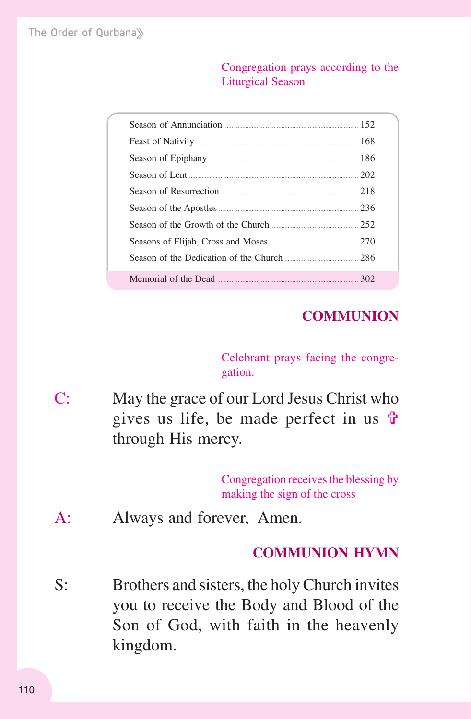#### Congregation prays according to the Liturgical Season

| Season of Lent 202                                                                                |  |
|---------------------------------------------------------------------------------------------------|--|
| Season of Resurrection <u>manual contraction</u> 218                                              |  |
| Season of the Apostles <b>Example 236</b>                                                         |  |
| Season of the Growth of the Church <u>[</u> [252] Season of the Growth of the Church <b>[252]</b> |  |
|                                                                                                   |  |
| Season of the Dedication of the Church 286                                                        |  |
| Memorial of the Dead <u>manual community</u> and the 302                                          |  |

# **COMMUNION**

Celebrant prays facing the congregation.

C: May the grace of our Lord Jesus Christ who gives us life, be made perfect in us  $\mathbf{\hat{P}}$ through His mercy.

> Congregation receives the blessing by making the sign of the cross

A: Always and forever, Amen.

## **COMMUNION HYMN**

S: Brothers and sisters, the holy Church invites you to receive the Body and Blood of the Son of God, with faith in the heavenly kingdom.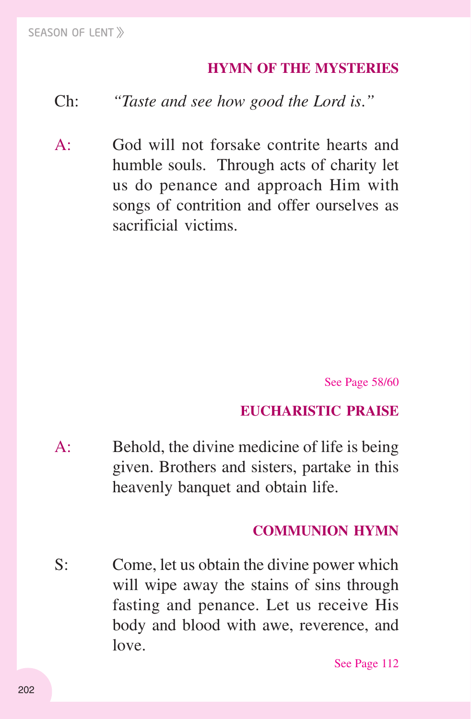## **HYMN OF THE MYSTERIES**

## Ch: *"Taste and see how good the Lord is*.*"*

A: God will not forsake contrite hearts and humble souls. Through acts of charity let us do penance and approach Him with songs of contrition and offer ourselves as sacrificial victims.

See Page 58/60

#### **EUCHARISTIC PRAISE**

A: Behold, the divine medicine of life is being given. Brothers and sisters, partake in this heavenly banquet and obtain life.

#### **COMMUNION HYMN**

S: Come, let us obtain the divine power which will wipe away the stains of sins through fasting and penance. Let us receive His body and blood with awe, reverence, and love.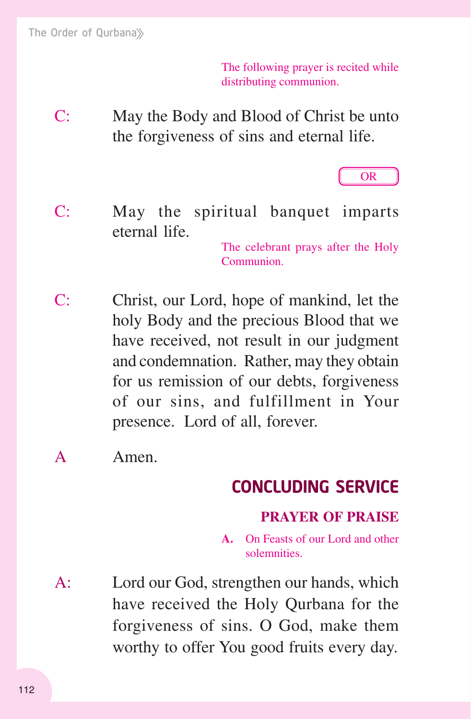The following prayer is recited while distributing communion.

C: May the Body and Blood of Christ be unto the forgiveness of sins and eternal life.



C: May the spiritual banquet imparts eternal life.

The celebrant prays after the Holy Communion.

- C: Christ, our Lord, hope of mankind, let the holy Body and the precious Blood that we have received, not result in our judgment and condemnation. Rather, may they obtain for us remission of our debts, forgiveness of our sins, and fulfillment in Your presence. Lord of all, forever.
- A Amen.

# CONCLUDING SERVICE

## **PRAYER OF PRAISE**

**A.** On Feasts of our Lord and other solemnities.

A: Lord our God, strengthen our hands, which have received the Holy Qurbana for the forgiveness of sins. O God, make them worthy to offer You good fruits every day.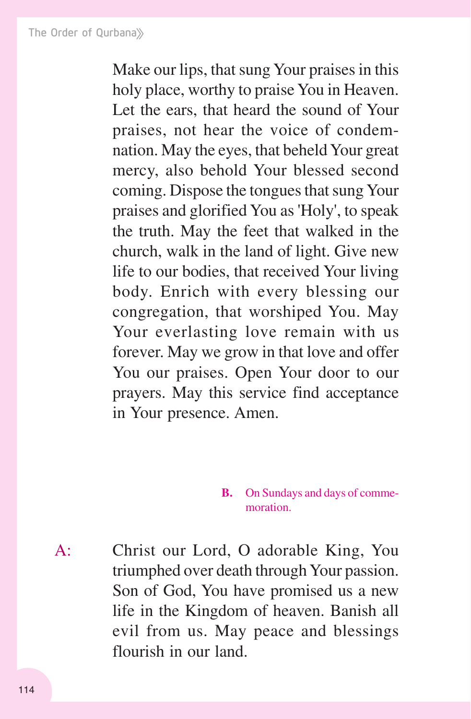Make our lips, that sung Your praises in this holy place, worthy to praise You in Heaven. Let the ears, that heard the sound of Your praises, not hear the voice of condemnation. May the eyes, that beheld Your great mercy, also behold Your blessed second coming. Dispose the tongues that sung Your praises and glorified You as 'Holy', to speak the truth. May the feet that walked in the church, walk in the land of light. Give new life to our bodies, that received Your living body. Enrich with every blessing our congregation, that worshiped You. May Your everlasting love remain with us forever. May we grow in that love and offer You our praises. Open Your door to our prayers. May this service find acceptance in Your presence. Amen.

#### **B.** On Sundays and days of commemoration.

A: Christ our Lord, O adorable King, You triumphed over death through Your passion. Son of God, You have promised us a new life in the Kingdom of heaven. Banish all evil from us. May peace and blessings flourish in our land.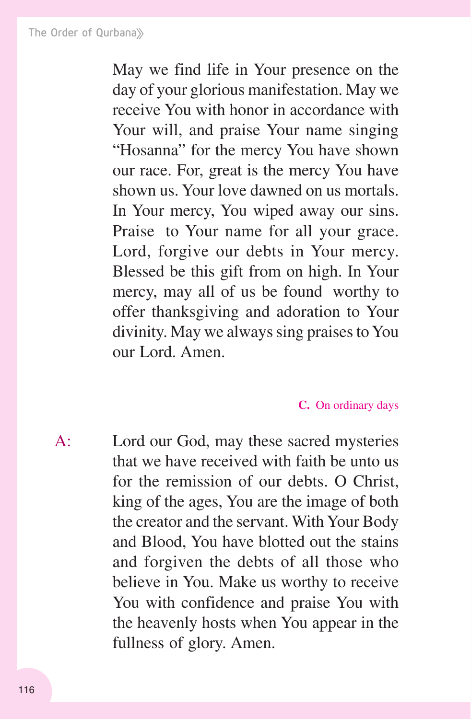May we find life in Your presence on the day of your glorious manifestation. May we receive You with honor in accordance with Your will, and praise Your name singing "Hosanna" for the mercy You have shown our race. For, great is the mercy You have shown us. Your love dawned on us mortals. In Your mercy, You wiped away our sins. Praise to Your name for all your grace. Lord, forgive our debts in Your mercy. Blessed be this gift from on high. In Your mercy, may all of us be found worthy to offer thanksgiving and adoration to Your divinity. May we always sing praises to You our Lord. Amen.

#### **C.** On ordinary days

A: Lord our God, may these sacred mysteries that we have received with faith be unto us for the remission of our debts. O Christ, king of the ages, You are the image of both the creator and the servant. With Your Body and Blood, You have blotted out the stains and forgiven the debts of all those who believe in You. Make us worthy to receive You with confidence and praise You with the heavenly hosts when You appear in the fullness of glory. Amen.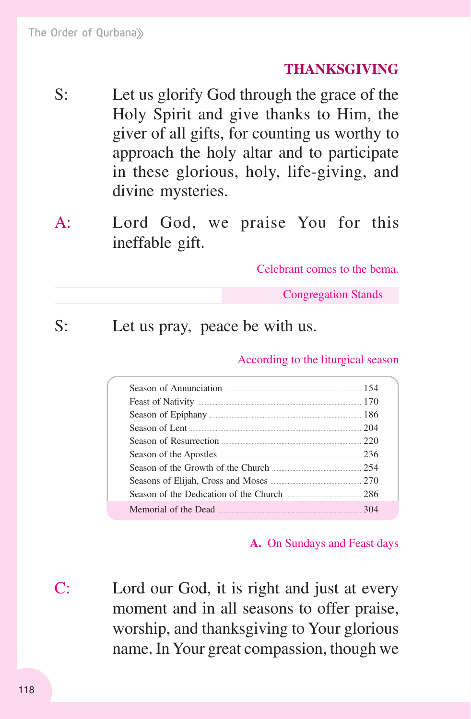#### **THANKSGIVING**

- S: Let us glorify God through the grace of the Holy Spirit and give thanks to Him, the giver of all gifts, for counting us worthy to approach the holy altar and to participate in these glorious, holy, life-giving, and divine mysteries.
- A: Lord God, we praise You for this ineffable gift.

Celebrant comes to the bema.

Congregation Stands

S: Let us pray, peace be with us.

According to the liturgical season

| Season of Resurrection 220                            |  |
|-------------------------------------------------------|--|
|                                                       |  |
| Season of the Growth of the Church 254                |  |
|                                                       |  |
| Season of the Dedication of the Church 286            |  |
| Memorial of the Dead <u>Communication</u> and the 304 |  |

#### **A.** On Sundays and Feast days

C: Lord our God, it is right and just at every moment and in all seasons to offer praise, worship, and thanksgiving to Your glorious name. In Your great compassion, though we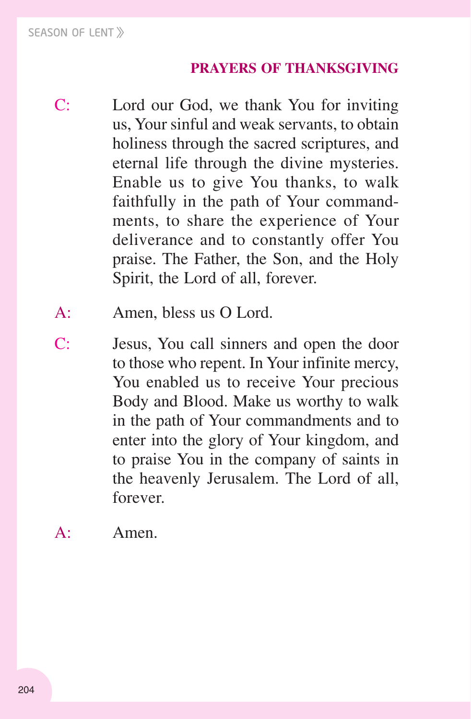# **PRAYERS OF THANKSGIVING**

- C: Lord our God, we thank You for inviting us, Your sinful and weak servants, to obtain holiness through the sacred scriptures, and eternal life through the divine mysteries. Enable us to give You thanks, to walk faithfully in the path of Your commandments, to share the experience of Your deliverance and to constantly offer You praise. The Father, the Son, and the Holy Spirit, the Lord of all, forever.
- A: Amen, bless us O Lord.
- C: Jesus, You call sinners and open the door to those who repent. In Your infinite mercy, You enabled us to receive Your precious Body and Blood. Make us worthy to walk in the path of Your commandments and to enter into the glory of Your kingdom, and to praise You in the company of saints in the heavenly Jerusalem. The Lord of all, forever.

A: Amen.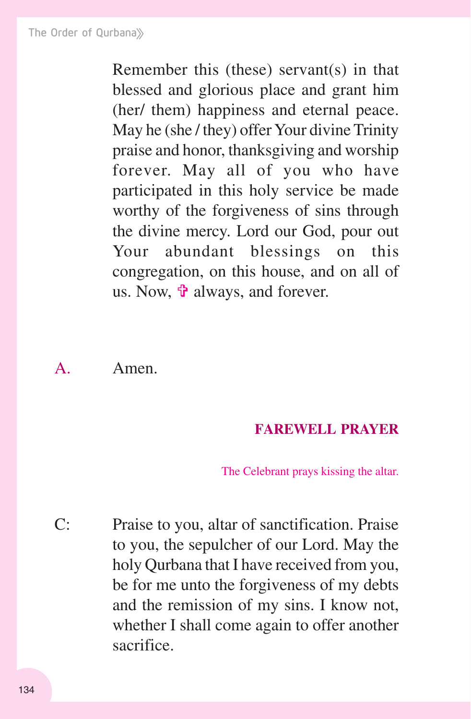Remember this (these) servant(s) in that blessed and glorious place and grant him (her/ them) happiness and eternal peace. May he (she / they) offer Your divine Trinity praise and honor, thanksgiving and worship forever. May all of you who have participated in this holy service be made worthy of the forgiveness of sins through the divine mercy. Lord our God, pour out Your abundant blessings on this congregation, on this house, and on all of us. Now,  $\mathbf{\hat{v}}$  always, and forever.

A. Amen.

#### **FAREWELL PRAYER**

The Celebrant prays kissing the altar.

C: Praise to you, altar of sanctification. Praise to you, the sepulcher of our Lord. May the holy Qurbana that I have received from you, be for me unto the forgiveness of my debts and the remission of my sins. I know not, whether I shall come again to offer another sacrifice.